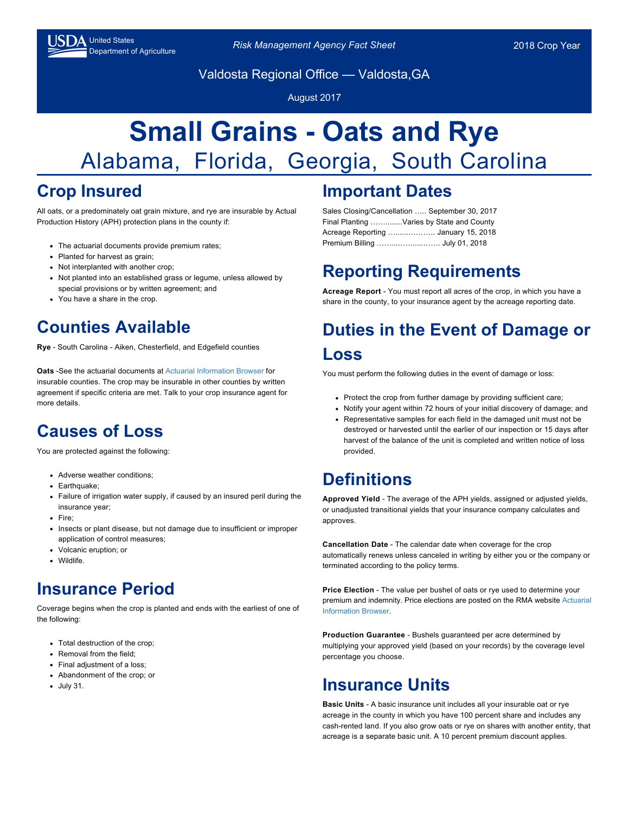

United States<br>Department of Agriculture *Risk Management Agency Fact Sheet* 2018 Crop Year

Valdosta Regional Office — Valdosta,GA

August 2017

# **Small Grains - Oats and Rye** Alabama, Florida, Georgia, South Carolina

## **Crop Insured**

All oats, or a predominately oat grain mixture, and rye are insurable by Actual Production History (APH) protection plans in the county if:

- The actuarial documents provide premium rates;
- Planted for harvest as grain;
- Not interplanted with another crop;
- Not planted into an established grass or legume, unless allowed by special provisions or by written agreement; and
- You have a share in the crop.

## **Counties Available**

**Rye** - South Carolina - Aiken, Chesterfield, and Edgefield counties

**Oats** -See the actuarial documents at [Actuarial Information Browser f](https://webapp.rma.usda.gov/apps/actuarialinformationbrowser/%20)or insurable counties. The crop may be insurable in other counties by written agreement if specific criteria are met. Talk to your crop insurance agent for more details.

#### **Causes of Loss**

You are protected against the following:

- Adverse weather conditions;
- Earthquake:
- Failure of irrigation water supply, if caused by an insured peril during the insurance year;
- Fire:
- Insects or plant disease, but not damage due to insufficient or improper application of control measures;
- Volcanic eruption; or
- Wildlife.

#### **Insurance Period**

Coverage begins when the crop is planted and ends with the earliest of one of the following:

- Total destruction of the crop:
- Removal from the field:
- Final adjustment of a loss:
- Abandonment of the crop; or
- July 31.

#### **Important Dates**

Sales Closing/Cancellation ….. September 30, 2017 Final Planting ……........Varies by State and County Acreage Reporting …......……….. January 15, 2018 Premium Billing ……...…….....……. July 01, 2018

# **Reporting Requirements**

**Acreage Report** - You must report all acres of the crop, in which you have a share in the county, to your insurance agent by the acreage reporting date.

## **Duties in the Event of Damage or Loss**

You must perform the following duties in the event of damage or loss:

- Protect the crop from further damage by providing sufficient care;
- Notify your agent within 72 hours of your initial discovery of damage; and
- Representative samples for each field in the damaged unit must not be destroyed or harvested until the earlier of our inspection or 15 days after harvest of the balance of the unit is completed and written notice of loss provided.

## **Definitions**

**Approved Yield** - The average of the APH yields, assigned or adjusted yields, or unadjusted transitional yields that your insurance company calculates and approves.

**Cancellation Date** - The calendar date when coverage for the crop automatically renews unless canceled in writing by either you or the company or terminated according to the policy terms.

**Price Election** - The value per bushel of oats or rye used to determine your [premium and indemnity. Price elections are posted on the RMA website Actuarial](https://webapp.rma.usda.gov/apps/ActuarialInformationBrowser/) Information Browser.

**Production Guarantee** - Bushels guaranteed per acre determined by multiplying your approved yield (based on your records) by the coverage level percentage you choose.

#### **Insurance Units**

**Basic Units** - A basic insurance unit includes all your insurable oat or rye acreage in the county in which you have 100 percent share and includes any cash-rented land. If you also grow oats or rye on shares with another entity, that acreage is a separate basic unit. A 10 percent premium discount applies.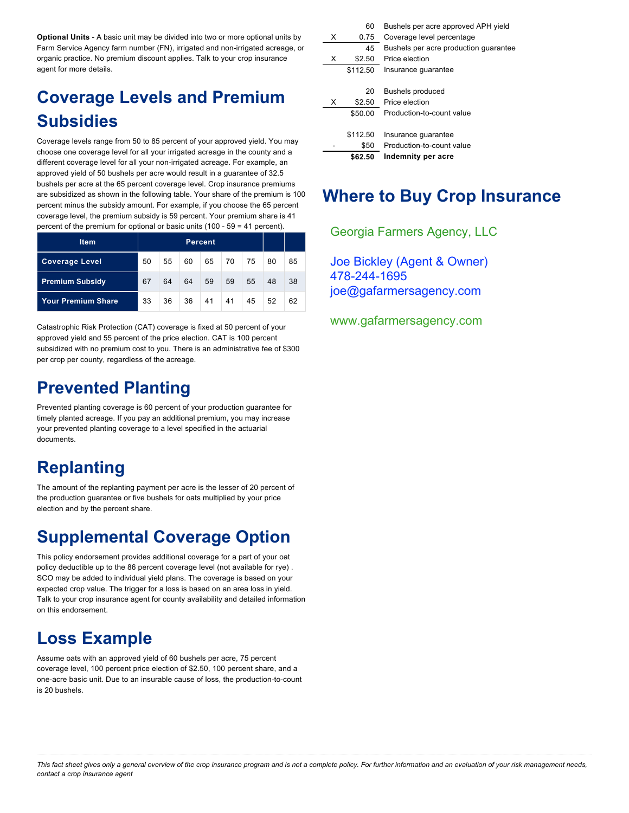**Optional Units** - A basic unit may be divided into two or more optional units by Farm Service Agency farm number (FN), irrigated and non-irrigated acreage, or organic practice. No premium discount applies. Talk to your crop insurance agent for more details.

# **Coverage Levels and Premium Subsidies**

Coverage levels range from 50 to 85 percent of your approved yield. You may choose one coverage level for all your irrigated acreage in the county and a different coverage level for all your non-irrigated acreage. For example, an approved yield of 50 bushels per acre would result in a guarantee of 32.5 bushels per acre at the 65 percent coverage level. Crop insurance premiums are subsidized as shown in the following table. Your share of the premium is 100 percent minus the subsidy amount. For example, if you choose the 65 percent coverage level, the premium subsidy is 59 percent. Your premium share is 41 percent of the premium for optional or basic units (100 - 59 = 41 percent).

| <b>Item</b>               | Percent. |    |    |    |    |    |    |    |
|---------------------------|----------|----|----|----|----|----|----|----|
| <b>Coverage Level</b>     | 50       | 55 | 60 | 65 | 70 | 75 | 80 | 85 |
| <b>Premium Subsidy</b>    | 67       | 64 | 64 | 59 | 59 | 55 | 48 | 38 |
| <b>Your Premium Share</b> | 33       | 36 | 36 | 41 | 41 | 45 | 52 | 62 |

Catastrophic Risk Protection (CAT) coverage is fixed at 50 percent of your approved yield and 55 percent of the price election. CAT is 100 percent subsidized with no premium cost to you. There is an administrative fee of \$300 per crop per county, regardless of the acreage.

#### **Prevented Planting**

Prevented planting coverage is 60 percent of your production guarantee for timely planted acreage. If you pay an additional premium, you may increase your prevented planting coverage to a level specified in the actuarial documents.

# **Replanting**

The amount of the replanting payment per acre is the lesser of 20 percent of the production guarantee or five bushels for oats multiplied by your price election and by the percent share.

## **Supplemental Coverage Option**

This policy endorsement provides additional coverage for a part of your oat policy deductible up to the 86 percent coverage level (not available for rye) . SCO may be added to individual yield plans. The coverage is based on your expected crop value. The trigger for a loss is based on an area loss in yield. Talk to your crop insurance agent for county availability and detailed information on this endorsement.

## **Loss Example**

Assume oats with an approved yield of 60 bushels per acre, 75 percent coverage level, 100 percent price election of \$2.50, 100 percent share, and a one-acre basic unit. Due to an insurable cause of loss, the production-to-count is 20 bushels.

|   | 60       | Bushels per acre approved APH yield   |
|---|----------|---------------------------------------|
| х | 0.75     | Coverage level percentage             |
|   | 45       | Bushels per acre production quarantee |
| x | \$2.50   | Price election                        |
|   | \$112.50 | Insurance quarantee                   |
|   |          |                                       |
|   | 20       | <b>Bushels produced</b>               |
| x | \$2.50   | Price election                        |
|   | \$50.00  | Production-to-count value             |
|   |          |                                       |
|   | \$112.50 | Insurance guarantee                   |
|   | \$50     | Production-to-count value             |
|   | \$62.50  | Indemnity per acre                    |

#### **Where to Buy Crop Insurance**

crop insurance agents. A list of crop insurance agents is available at all USDA Georgia Farmers Agency, LLC

Joe Bickley (Agent & Owner) 00@nafarmerson joe@gafarmersagency.com 478-244-1695

www.gafarmersagency.com